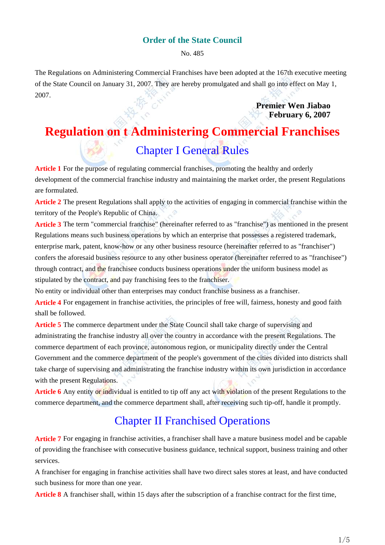#### **Order of the State Council**

No. 485

The Regulations on Administering Commercial Franchises have been adopted at the 167th executive meeting of the State Council on January 31, 2007. They are hereby promulgated and shall go into effect on May 1, 2007.

> **Premier Wen Jiabao February 6, 2007**

# **Regulation on t Administering Commercial Franchises** Chapter I General Rules

**Article 1** For the purpose of regulating commercial franchises, promoting the healthy and orderly development of the commercial franchise industry and maintaining the market order, the present Regulations are formulated.

**Article 2** The present Regulations shall apply to the activities of engaging in commercial franchise within the territory of the People's Republic of China.

**Article 3** The term "commercial franchise" (hereinafter referred to as "franchise") as mentioned in the present Regulations means such business operations by which an enterprise that possesses a registered trademark, enterprise mark, patent, know-how or any other business resource (hereinafter referred to as "franchiser") confers the aforesaid business resource to any other business operator (hereinafter referred to as "franchisee") through contract, and the franchisee conducts business operations under the uniform business model as stipulated by the contract, and pay franchising fees to the franchiser.

No entity or individual other than enterprises may conduct franchise business as a franchiser.

**Article 4** For engagement in franchise activities, the principles of free will, fairness, honesty and good faith shall be followed.

**Article 5** The commerce department under the State Council shall take charge of supervising and administrating the franchise industry all over the country in accordance with the present Regulations. The commerce department of each province, autonomous region, or municipality directly under the Central Government and the commerce department of the people's government of the cities divided into districts shall take charge of supervising and administrating the franchise industry within its own jurisdiction in accordance with the present Regulations.

**Article 6** Any entity or individual is entitled to tip off any act with violation of the present Regulations to the commerce department, and the commerce department shall, after receiving such tip-off, handle it promptly.

## Chapter II Franchised Operations

**Article 7** For engaging in franchise activities, a franchiser shall have a mature business model and be capable of providing the franchisee with consecutive business guidance, technical support, business training and other services.

A franchiser for engaging in franchise activities shall have two direct sales stores at least, and have conducted such business for more than one year.

**Article 8** A franchiser shall, within 15 days after the subscription of a franchise contract for the first time,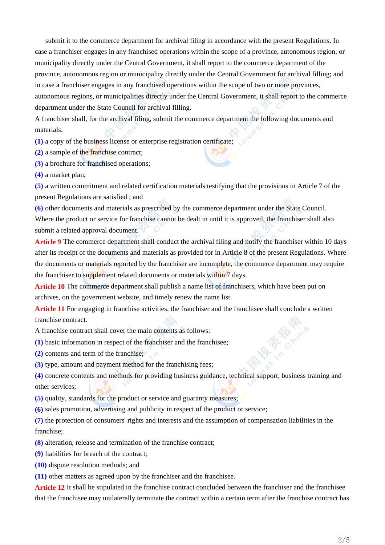submit it to the commerce department for archival filing in accordance with the present Regulations. In case a franchiser engages in any franchised operations within the scope of a province, autonomous region, or municipality directly under the Central Government, it shall report to the commerce department of the province, autonomous region or municipality directly under the Central Government for archival filling; and in case a franchiser engages in any franchised operations within the scope of two or more provinces, autonomous regions, or municipalities directly under the Central Government, it shall report to the commerce department under the State Council for archival filling.

A franchiser shall, for the archival filing, submit the commerce department the following documents and materials:

**(1)** a copy of the business license or enterprise registration certificate;

**(2)** a sample of the franchise contract;

**(3)** a brochure for franchised operations;

**(4)** a market plan;

**(5)** a written commitment and related certification materials testifying that the provisions in Article 7 of the present Regulations are satisfied ; and

**(6)** other documents and materials as prescribed by the commerce department under the State Council. Where the product or service for franchise cannot be dealt in until it is approved, the franchiser shall also submit a related approval document.

**Article 9** The commerce department shall conduct the archival filing and notify the franchiser within 10 days after its receipt of the documents and materials as provided for in Article 8 of the present Regulations. Where the documents or materials reported by the franchiser are incomplete, the commerce department may require the franchiser to supplement related documents or materials within 7 days.

Article 10 The commerce department shall publish a name list of franchisers, which have been put on archives, on the government website, and timely renew the name list.

**Article 11** For engaging in franchise activities, the franchiser and the franchisee shall conclude a written franchise contract.

A franchise contract shall cover the main contents as follows:

- **(1)** basic information in respect of the franchiser and the franchisee;
- **(2)** contents and term of the franchise;
- **(3)** type, amount and payment method for the franchising fees;

**(4)** concrete contents and methods for providing business guidance, technical support, business training and other services;

- **(5)** quality, standards for the product or service and guaranty measures;
- **(6)** sales promotion, advertising and publicity in respect of the product or service;

**(7)** the protection of consumers' rights and interests and the assumption of compensation liabilities in the franchise;

- **(8)** alteration, release and termination of the franchise contract;
- **(9)** liabilities for breach of the contract;
- **(10)** dispute resolution methods; and
- **(11)** other matters as agreed upon by the franchiser and the franchisee.

**Article 12** It shall be stipulated in the franchise contract concluded between the franchiser and the franchisee that the franchisee may unilaterally terminate the contract within a certain term after the franchise contract has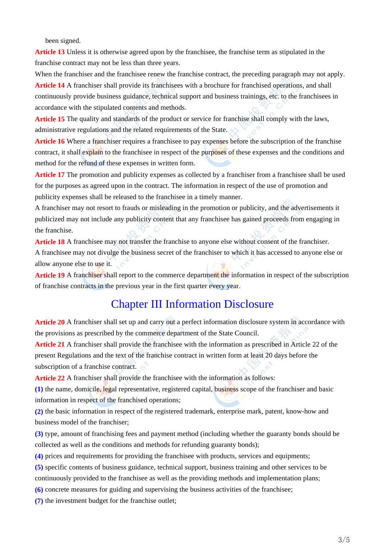been signed.

Article 13 Unless it is otherwise agreed upon by the franchisee, the franchise term as stipulated in the franchise contract may not be less than three years.

When the franchiser and the franchisee renew the franchise contract, the preceding paragraph may not apply.

**Article 14** A franchiser shall provide its franchisees with a brochure for franchised operations, and shall continuously provide business guidance, technical support and business trainings, etc. to the franchisees in accordance with the stipulated contents and methods.

**Article 15** The quality and standards of the product or service for franchise shall comply with the laws, administrative regulations and the related requirements of the State.

**Article 16** Where a franchiser requires a franchisee to pay expenses before the subscription of the franchise contract, it shall explain to the franchisee in respect of the purposes of these expenses and the conditions and method for the refund of these expenses in written form.

**Article 17** The promotion and publicity expenses as collected by a franchiser from a franchisee shall be used for the purposes as agreed upon in the contract. The information in respect of the use of promotion and publicity expenses shall be released to the franchisee in a timely manner.

A franchiser may not resort to frauds or misleading in the promotion or publicity, and the advertisements it publicized may not include any publicity content that any franchisee has gained proceeds from engaging in the franchise.

Article 18 A franchisee may not transfer the franchise to anyone else without consent of the franchiser. A franchisee may not divulge the business secret of the franchiser to which it has accessed to anyone else or allow anyone else to use it.

**Article 19** A franchiser shall report to the commerce department the information in respect of the subscription of franchise contracts in the previous year in the first quarter every year.

### Chapter III Information Disclosure

**Article 20** A franchiser shall set up and carry out a perfect information disclosure system in accordance with the provisions as prescribed by the commerce department of the State Council.

**Article 21** A franchiser shall provide the franchisee with the information as prescribed in Article 22 of the present Regulations and the text of the franchise contract in written form at least 20 days before the subscription of a franchise contract.

**Article 22** A franchiser shall provide the franchisee with the information as follows:

**(1)** the name, domicile, legal representative, registered capital, business scope of the franchiser and basic information in respect of the franchised operations;

**(2)** the basic information in respect of the registered trademark, enterprise mark, patent, know-how and business model of the franchiser;

**(3)** type, amount of franchising fees and payment method (including whether the guaranty bonds should be collected as well as the conditions and methods for refunding guaranty bonds);

**(4)** prices and requirements for providing the franchisee with products, services and equipments;

**(5)** specific contents of business guidance, technical support, business training and other services to be continuously provided to the franchisee as well as the providing methods and implementation plans;

**(6)** concrete measures for guiding and supervising the business activities of the franchisee;

**(7)** the investment budget for the franchise outlet;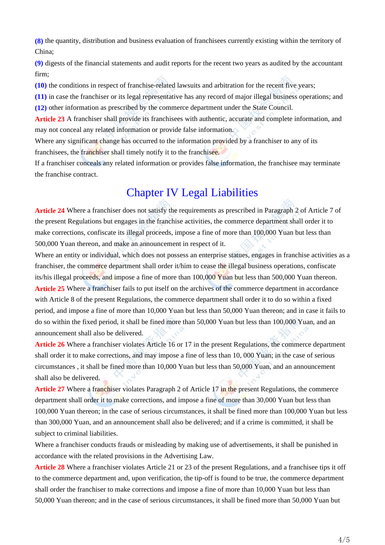**(8)** the quantity, distribution and business evaluation of franchisees currently existing within the territory of China;

**(9)** digests of the financial statements and audit reports for the recent two years as audited by the accountant firm;

**(10)** the conditions in respect of franchise-related lawsuits and arbitration for the recent five years;

**(11)** in case the franchiser or its legal representative has any record of major illegal business operations; and **(12)** other information as prescribed by the commerce department under the State Council.

**Article 23** A franchiser shall provide its franchisees with authentic, accurate and complete information, and may not conceal any related information or provide false information.

Where any significant change has occurred to the information provided by a franchiser to any of its franchisees, the franchiser shall timely notify it to the franchisee.

If a franchiser conceals any related information or provides false information, the franchisee may terminate the franchise contract.

## Chapter IV Legal Liabilities

**Article 24** Where a franchiser does not satisfy the requirements as prescribed in Paragraph 2 of Article 7 of the present Regulations but engages in the franchise activities, the commerce department shall order it to make corrections, confiscate its illegal proceeds, impose a fine of more than 100,000 Yuan but less than 500,000 Yuan thereon, and make an announcement in respect of it.

Where an entity or individual, which does not possess an enterprise statues, engages in franchise activities as a franchiser, the commerce department shall order it/him to cease the illegal business operations, confiscate its/his illegal proceeds, and impose a fine of more than 100,000 Yuan but less than 500,000 Yuan thereon. Article 25 Where a franchiser fails to put itself on the archives of the commerce department in accordance with Article 8 of the present Regulations, the commerce department shall order it to do so within a fixed period, and impose a fine of more than 10,000 Yuan but less than 50,000 Yuan thereon; and in case it fails to do so within the fixed period, it shall be fined more than 50,000 Yuan but less than 100,000 Yuan, and an announcement shall also be delivered.

**Article 26** Where a franchiser violates Article 16 or 17 in the present Regulations, the commerce department shall order it to make corrections, and may impose a fine of less than 10, 000 Yuan; in the case of serious circumstances , it shall be fined more than 10,000 Yuan but less than 50,000 Yuan, and an announcement shall also be delivered.

**Article 27** Where a franchiser violates Paragraph 2 of Article 17 in the present Regulations, the commerce department shall order it to make corrections, and impose a fine of more than 30,000 Yuan but less than 100,000 Yuan thereon; in the case of serious circumstances, it shall be fined more than 100,000 Yuan but less than 300,000 Yuan, and an announcement shall also be delivered; and if a crime is committed, it shall be subject to criminal liabilities.

Where a franchiser conducts frauds or misleading by making use of advertisements, it shall be punished in accordance with the related provisions in the Advertising Law.

**Article 28** Where a franchiser violates Article 21 or 23 of the present Regulations, and a franchisee tips it off to the commerce department and, upon verification, the tip-off is found to be true, the commerce department shall order the franchiser to make corrections and impose a fine of more than 10,000 Yuan but less than 50,000 Yuan thereon; and in the case of serious circumstances, it shall be fined more than 50,000 Yuan but